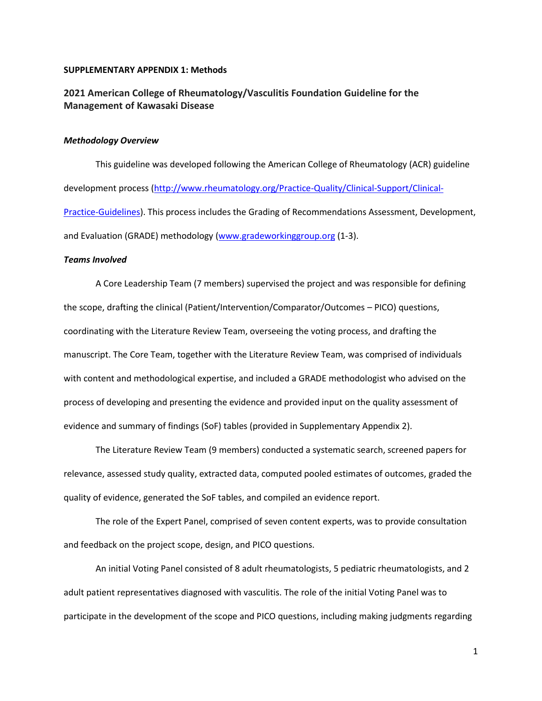#### **SUPPLEMENTARY APPENDIX 1: Methods**

## **2021 American College of Rheumatology/Vasculitis Foundation Guideline for the Management of Kawasaki Disease**

## *Methodology Overview*

This guideline was developed following the American College of Rheumatology (ACR) guideline development process [\(http://www.rheumatology.org/Practice-Quality/Clinical-Support/Clinical-](http://www.rheumatology.org/Practice-Quality/Clinical-Support/Clinical-Practice-Guidelines)[Practice-Guidelines\)](http://www.rheumatology.org/Practice-Quality/Clinical-Support/Clinical-Practice-Guidelines). This process includes the Grading of Recommendations Assessment, Development, and Evaluation (GRADE) methodology [\(www.gradeworkinggroup.org](http://www.gradeworkinggroup.org/) (1-3).

#### *Teams Involved*

A Core Leadership Team (7 members) supervised the project and was responsible for defining the scope, drafting the clinical (Patient/Intervention/Comparator/Outcomes – PICO) questions, coordinating with the Literature Review Team, overseeing the voting process, and drafting the manuscript. The Core Team, together with the Literature Review Team, was comprised of individuals with content and methodological expertise, and included a GRADE methodologist who advised on the process of developing and presenting the evidence and provided input on the quality assessment of evidence and summary of findings (SoF) tables (provided in Supplementary Appendix 2).

The Literature Review Team (9 members) conducted a systematic search, screened papers for relevance, assessed study quality, extracted data, computed pooled estimates of outcomes, graded the quality of evidence, generated the SoF tables, and compiled an evidence report.

The role of the Expert Panel, comprised of seven content experts, was to provide consultation and feedback on the project scope, design, and PICO questions.

An initial Voting Panel consisted of 8 adult rheumatologists, 5 pediatric rheumatologists, and 2 adult patient representatives diagnosed with vasculitis. The role of the initial Voting Panel was to participate in the development of the scope and PICO questions, including making judgments regarding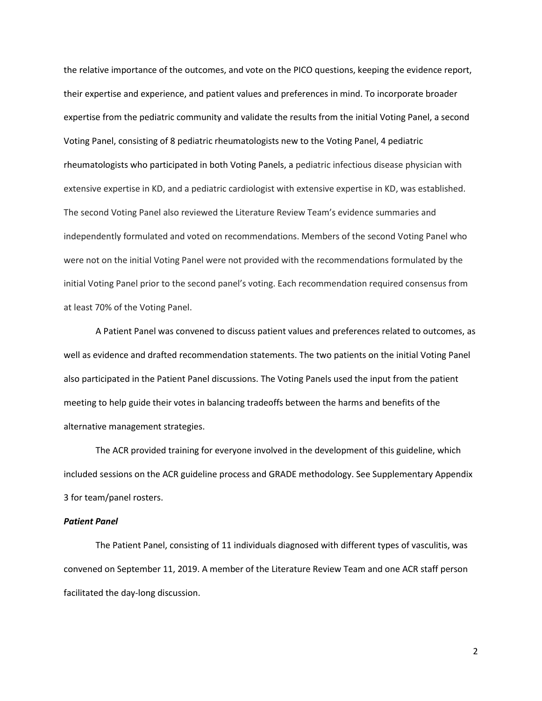the relative importance of the outcomes, and vote on the PICO questions, keeping the evidence report, their expertise and experience, and patient values and preferences in mind. To incorporate broader expertise from the pediatric community and validate the results from the initial Voting Panel, a second Voting Panel, consisting of 8 pediatric rheumatologists new to the Voting Panel, 4 pediatric rheumatologists who participated in both Voting Panels, a pediatric infectious disease physician with extensive expertise in KD, and a pediatric cardiologist with extensive expertise in KD, was established. The second Voting Panel also reviewed the Literature Review Team's evidence summaries and independently formulated and voted on recommendations. Members of the second Voting Panel who were not on the initial Voting Panel were not provided with the recommendations formulated by the initial Voting Panel prior to the second panel's voting. Each recommendation required consensus from at least 70% of the Voting Panel.

A Patient Panel was convened to discuss patient values and preferences related to outcomes, as well as evidence and drafted recommendation statements. The two patients on the initial Voting Panel also participated in the Patient Panel discussions. The Voting Panels used the input from the patient meeting to help guide their votes in balancing tradeoffs between the harms and benefits of the alternative management strategies.

The ACR provided training for everyone involved in the development of this guideline, which included sessions on the ACR guideline process and GRADE methodology. See Supplementary Appendix 3 for team/panel rosters.

## *Patient Panel*

The Patient Panel, consisting of 11 individuals diagnosed with different types of vasculitis, was convened on September 11, 2019. A member of the Literature Review Team and one ACR staff person facilitated the day-long discussion.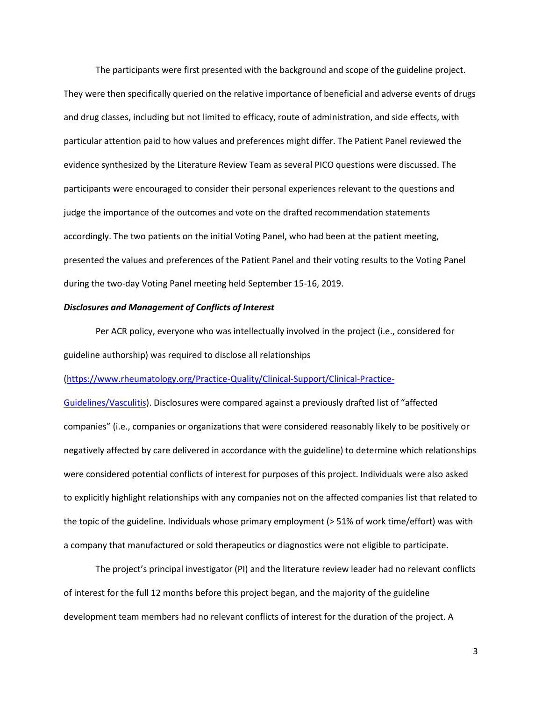The participants were first presented with the background and scope of the guideline project. They were then specifically queried on the relative importance of beneficial and adverse events of drugs and drug classes, including but not limited to efficacy, route of administration, and side effects, with particular attention paid to how values and preferences might differ. The Patient Panel reviewed the evidence synthesized by the Literature Review Team as several PICO questions were discussed. The participants were encouraged to consider their personal experiences relevant to the questions and judge the importance of the outcomes and vote on the drafted recommendation statements accordingly. The two patients on the initial Voting Panel, who had been at the patient meeting, presented the values and preferences of the Patient Panel and their voting results to the Voting Panel during the two-day Voting Panel meeting held September 15-16, 2019.

#### *Disclosures and Management of Conflicts of Interest*

Per ACR policy, everyone who was intellectually involved in the project (i.e., considered for guideline authorship) was required to disclose all relationships

[\(https://www.rheumatology.org/Practice-Quality/Clinical-Support/Clinical-Practice-](https://www.rheumatology.org/Practice-Quality/Clinical-Support/Clinical-Practice-Guidelines/Vasculitis)

[Guidelines/Vasculitis](https://www.rheumatology.org/Practice-Quality/Clinical-Support/Clinical-Practice-Guidelines/Vasculitis)). Disclosures were compared against a previously drafted list of "affected companies" (i.e., companies or organizations that were considered reasonably likely to be positively or negatively affected by care delivered in accordance with the guideline) to determine which relationships were considered potential conflicts of interest for purposes of this project. Individuals were also asked to explicitly highlight relationships with any companies not on the affected companies list that related to the topic of the guideline. Individuals whose primary employment (> 51% of work time/effort) was with a company that manufactured or sold therapeutics or diagnostics were not eligible to participate.

The project's principal investigator (PI) and the literature review leader had no relevant conflicts of interest for the full 12 months before this project began, and the majority of the guideline development team members had no relevant conflicts of interest for the duration of the project. A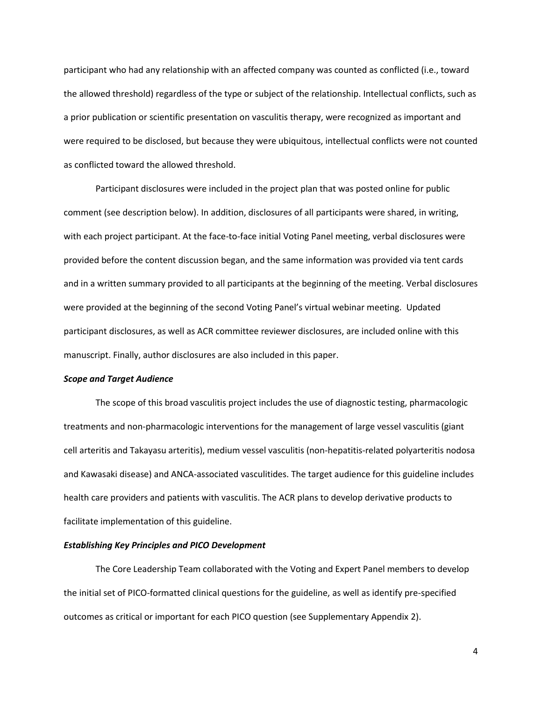participant who had any relationship with an affected company was counted as conflicted (i.e., toward the allowed threshold) regardless of the type or subject of the relationship. Intellectual conflicts, such as a prior publication or scientific presentation on vasculitis therapy, were recognized as important and were required to be disclosed, but because they were ubiquitous, intellectual conflicts were not counted as conflicted toward the allowed threshold.

Participant disclosures were included in the project plan that was posted online for public comment (see description below). In addition, disclosures of all participants were shared, in writing, with each project participant. At the face-to-face initial Voting Panel meeting, verbal disclosures were provided before the content discussion began, and the same information was provided via tent cards and in a written summary provided to all participants at the beginning of the meeting. Verbal disclosures were provided at the beginning of the second Voting Panel's virtual webinar meeting. Updated participant disclosures, as well as ACR committee reviewer disclosures, are included online with this manuscript. Finally, author disclosures are also included in this paper.

## *Scope and Target Audience*

The scope of this broad vasculitis project includes the use of diagnostic testing, pharmacologic treatments and non-pharmacologic interventions for the management of large vessel vasculitis (giant cell arteritis and Takayasu arteritis), medium vessel vasculitis (non-hepatitis-related polyarteritis nodosa and Kawasaki disease) and ANCA-associated vasculitides. The target audience for this guideline includes health care providers and patients with vasculitis. The ACR plans to develop derivative products to facilitate implementation of this guideline.

## *Establishing Key Principles and PICO Development*

The Core Leadership Team collaborated with the Voting and Expert Panel members to develop the initial set of PICO-formatted clinical questions for the guideline, as well as identify pre-specified outcomes as critical or important for each PICO question (see Supplementary Appendix 2).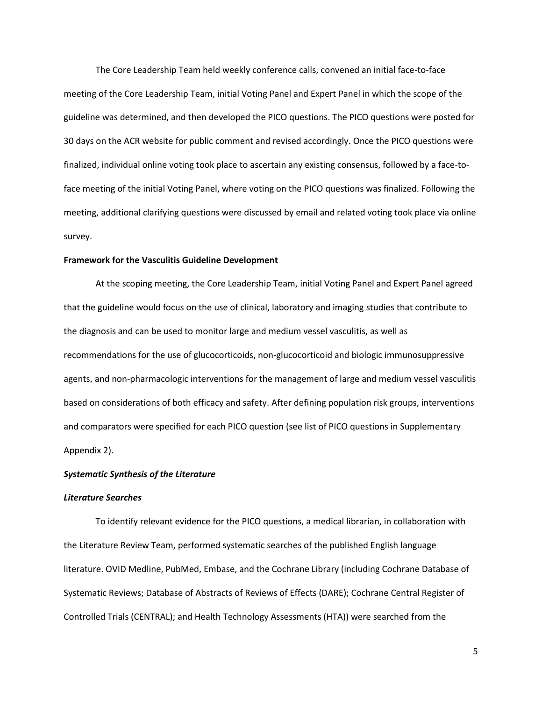The Core Leadership Team held weekly conference calls, convened an initial face-to-face meeting of the Core Leadership Team, initial Voting Panel and Expert Panel in which the scope of the guideline was determined, and then developed the PICO questions. The PICO questions were posted for 30 days on the ACR website for public comment and revised accordingly. Once the PICO questions were finalized, individual online voting took place to ascertain any existing consensus, followed by a face-toface meeting of the initial Voting Panel, where voting on the PICO questions was finalized. Following the meeting, additional clarifying questions were discussed by email and related voting took place via online survey.

## **Framework for the Vasculitis Guideline Development**

At the scoping meeting, the Core Leadership Team, initial Voting Panel and Expert Panel agreed that the guideline would focus on the use of clinical, laboratory and imaging studies that contribute to the diagnosis and can be used to monitor large and medium vessel vasculitis, as well as recommendations for the use of glucocorticoids, non-glucocorticoid and biologic immunosuppressive agents, and non-pharmacologic interventions for the management of large and medium vessel vasculitis based on considerations of both efficacy and safety. After defining population risk groups, interventions and comparators were specified for each PICO question (see list of PICO questions in Supplementary Appendix 2).

## *Systematic Synthesis of the Literature*

#### *Literature Searches*

To identify relevant evidence for the PICO questions, a medical librarian, in collaboration with the Literature Review Team, performed systematic searches of the published English language literature. OVID Medline, PubMed, Embase, and the Cochrane Library (including Cochrane Database of Systematic Reviews; Database of Abstracts of Reviews of Effects (DARE); Cochrane Central Register of Controlled Trials (CENTRAL); and Health Technology Assessments (HTA)) were searched from the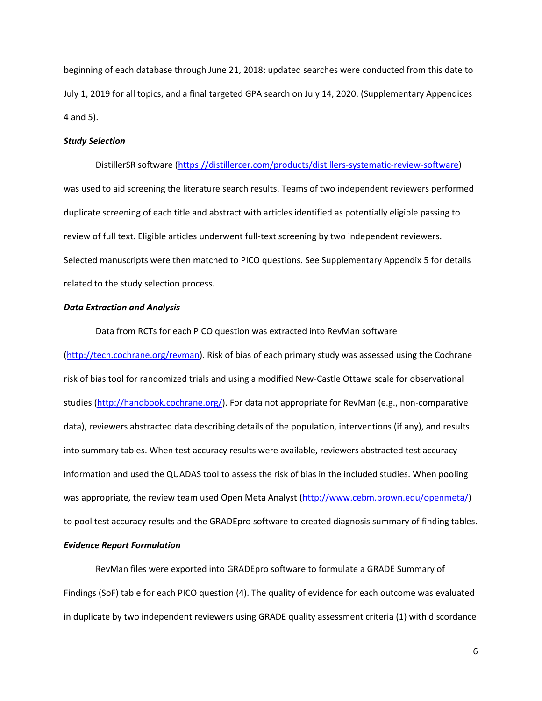beginning of each database through June 21, 2018; updated searches were conducted from this date to July 1, 2019 for all topics, and a final targeted GPA search on July 14, 2020. (Supplementary Appendices 4 and 5).

## *Study Selection*

DistillerSR software [\(https://distillercer.com/products/distillers-systematic-review-software\)](https://distillercer.com/products/distillers-systematic-review-software) was used to aid screening the literature search results. Teams of two independent reviewers performed duplicate screening of each title and abstract with articles identified as potentially eligible passing to review of full text. Eligible articles underwent full-text screening by two independent reviewers. Selected manuscripts were then matched to PICO questions. See Supplementary Appendix 5 for details related to the study selection process.

## *Data Extraction and Analysis*

Data from RCTs for each PICO question was extracted into RevMan software [\(http://tech.cochrane.org/revman\)](http://tech.cochrane.org/revman). Risk of bias of each primary study was assessed using the Cochrane risk of bias tool for randomized trials and using a modified New-Castle Ottawa scale for observational studies [\(http://handbook.cochrane.org/\)](http://handbook.cochrane.org/). For data not appropriate for RevMan (e.g., non-comparative data), reviewers abstracted data describing details of the population, interventions (if any), and results into summary tables. When test accuracy results were available, reviewers abstracted test accuracy information and used the QUADAS tool to assess the risk of bias in the included studies. When pooling was appropriate, the review team used Open Meta Analyst [\(http://www.cebm.brown.edu/openmeta/\)](http://www.cebm.brown.edu/openmeta/) to pool test accuracy results and the GRADEpro software to created diagnosis summary of finding tables.

# *Evidence Report Formulation*

RevMan files were exported into GRADEpro software to formulate a GRADE Summary of Findings (SoF) table for each PICO question (4). The quality of evidence for each outcome was evaluated in duplicate by two independent reviewers using GRADE quality assessment criteria (1) with discordance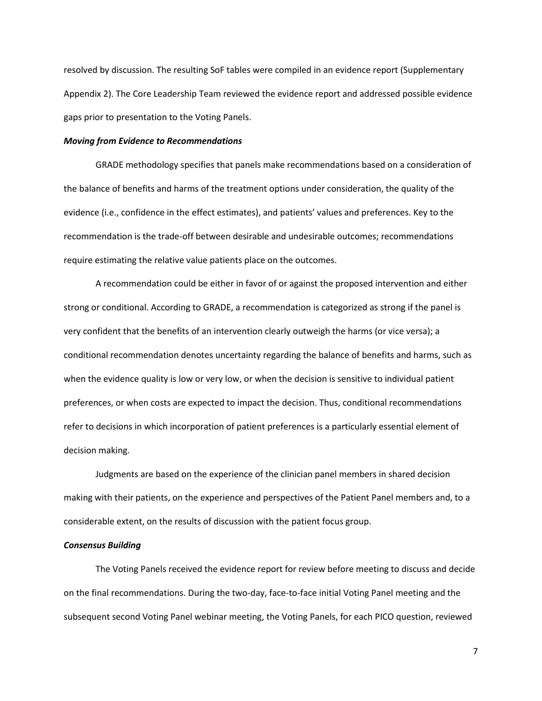resolved by discussion. The resulting SoF tables were compiled in an evidence report (Supplementary Appendix 2). The Core Leadership Team reviewed the evidence report and addressed possible evidence gaps prior to presentation to the Voting Panels.

#### *Moving from Evidence to Recommendations*

GRADE methodology specifies that panels make recommendations based on a consideration of the balance of benefits and harms of the treatment options under consideration, the quality of the evidence (i.e., confidence in the effect estimates), and patients' values and preferences. Key to the recommendation is the trade-off between desirable and undesirable outcomes; recommendations require estimating the relative value patients place on the outcomes.

A recommendation could be either in favor of or against the proposed intervention and either strong or conditional. According to GRADE, a recommendation is categorized as strong if the panel is very confident that the benefits of an intervention clearly outweigh the harms (or vice versa); a conditional recommendation denotes uncertainty regarding the balance of benefits and harms, such as when the evidence quality is low or very low, or when the decision is sensitive to individual patient preferences, or when costs are expected to impact the decision. Thus, conditional recommendations refer to decisions in which incorporation of patient preferences is a particularly essential element of decision making.

Judgments are based on the experience of the clinician panel members in shared decision making with their patients, on the experience and perspectives of the Patient Panel members and, to a considerable extent, on the results of discussion with the patient focus group.

## *Consensus Building*

The Voting Panels received the evidence report for review before meeting to discuss and decide on the final recommendations. During the two-day, face-to-face initial Voting Panel meeting and the subsequent second Voting Panel webinar meeting, the Voting Panels, for each PICO question, reviewed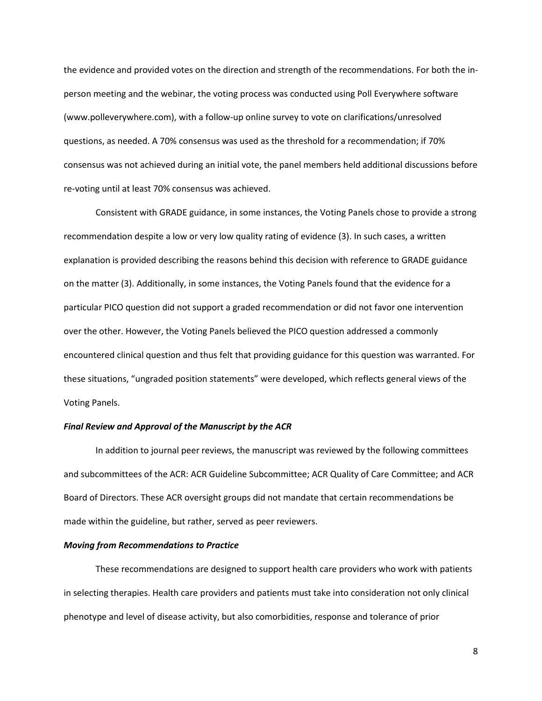the evidence and provided votes on the direction and strength of the recommendations. For both the inperson meeting and the webinar, the voting process was conducted using Poll Everywhere software (www.polleverywhere.com), with a follow-up online survey to vote on clarifications/unresolved questions, as needed. A 70% consensus was used as the threshold for a recommendation; if 70% consensus was not achieved during an initial vote, the panel members held additional discussions before re-voting until at least 70% consensus was achieved.

Consistent with GRADE guidance, in some instances, the Voting Panels chose to provide a strong recommendation despite a low or very low quality rating of evidence (3). In such cases, a written explanation is provided describing the reasons behind this decision with reference to GRADE guidance on the matter (3). Additionally, in some instances, the Voting Panels found that the evidence for a particular PICO question did not support a graded recommendation or did not favor one intervention over the other. However, the Voting Panels believed the PICO question addressed a commonly encountered clinical question and thus felt that providing guidance for this question was warranted. For these situations, "ungraded position statements" were developed, which reflects general views of the Voting Panels.

## *Final Review and Approval of the Manuscript by the ACR*

In addition to journal peer reviews, the manuscript was reviewed by the following committees and subcommittees of the ACR: ACR Guideline Subcommittee; ACR Quality of Care Committee; and ACR Board of Directors. These ACR oversight groups did not mandate that certain recommendations be made within the guideline, but rather, served as peer reviewers.

#### *Moving from Recommendations to Practice*

These recommendations are designed to support health care providers who work with patients in selecting therapies. Health care providers and patients must take into consideration not only clinical phenotype and level of disease activity, but also comorbidities, response and tolerance of prior